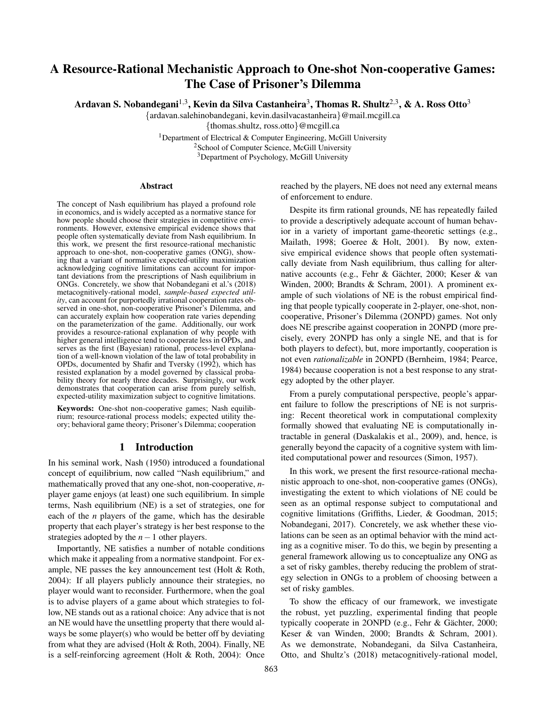# A Resource-Rational Mechanistic Approach to One-shot Non-cooperative Games: The Case of Prisoner's Dilemma

Ardavan S. Nobandegani $^{1,3}$ , Kevin da Silva Castanheira $^3$ , Thomas R. Shultz $^{2,3}$ , & A. Ross Otto $^3$ 

{ardavan.salehinobandegani, kevin.dasilvacastanheira}@mail.mcgill.ca

{thomas.shultz, ross.otto}@mcgill.ca

<sup>1</sup>Department of Electrical & Computer Engineering, McGill University <sup>2</sup> School of Computer Science, McGill University <sup>3</sup>Department of Psychology, McGill University

#### Abstract

The concept of Nash equilibrium has played a profound role in economics, and is widely accepted as a normative stance for how people should choose their strategies in competitive environments. However, extensive empirical evidence shows that people often systematically deviate from Nash equilibrium. In this work, we present the first resource-rational mechanistic approach to one-shot, non-cooperative games (ONG), showing that a variant of normative expected-utility maximization acknowledging cognitive limitations can account for important deviations from the prescriptions of Nash equilibrium in ONGs. Concretely, we show that Nobandegani et al.'s (2018) metacognitively-rational model, *sample-based expected utility*, can account for purportedly irrational cooperation rates observed in one-shot, non-cooperative Prisoner's Dilemma, and can accurately explain how cooperation rate varies depending on the parameterization of the game. Additionally, our work provides a resource-rational explanation of why people with higher general intelligence tend to cooperate less in OPDs, and serves as the first (Bayesian) rational, process-level explanation of a well-known violation of the law of total probability in OPDs, documented by Shafir and Tversky (1992), which has resisted explanation by a model governed by classical probability theory for nearly three decades. Surprisingly, our work demonstrates that cooperation can arise from purely selfish, expected-utility maximization subject to cognitive limitations.

Keywords: One-shot non-cooperative games; Nash equilibrium; resource-rational process models; expected utility theory; behavioral game theory; Prisoner's Dilemma; cooperation

#### 1 Introduction

In his seminal work, Nash (1950) introduced a foundational concept of equilibrium, now called "Nash equilibrium," and mathematically proved that any one-shot, non-cooperative, *n*player game enjoys (at least) one such equilibrium. In simple terms, Nash equilibrium (NE) is a set of strategies, one for each of the *n* players of the game, which has the desirable property that each player's strategy is her best response to the strategies adopted by the *n*−1 other players.

Importantly, NE satisfies a number of notable conditions which make it appealing from a normative standpoint. For example, NE passes the key announcement test (Holt & Roth, 2004): If all players publicly announce their strategies, no player would want to reconsider. Furthermore, when the goal is to advise players of a game about which strategies to follow, NE stands out as a rational choice: Any advice that is not an NE would have the unsettling property that there would always be some player(s) who would be better off by deviating from what they are advised (Holt & Roth, 2004). Finally, NE is a self-reinforcing agreement (Holt & Roth, 2004): Once reached by the players, NE does not need any external means of enforcement to endure.

Despite its firm rational grounds, NE has repeatedly failed to provide a descriptively adequate account of human behavior in a variety of important game-theoretic settings (e.g., Mailath, 1998; Goeree & Holt, 2001). By now, extensive empirical evidence shows that people often systematically deviate from Nash equilibrium, thus calling for alternative accounts (e.g., Fehr & Gächter, 2000; Keser & van Winden, 2000; Brandts & Schram, 2001). A prominent example of such violations of NE is the robust empirical finding that people typically cooperate in 2-player, one-shot, noncooperative, Prisoner's Dilemma (2ONPD) games. Not only does NE prescribe against cooperation in 2ONPD (more precisely, every 2ONPD has only a single NE, and that is for both players to defect), but, more importantly, cooperation is not even *rationalizable* in 2ONPD (Bernheim, 1984; Pearce, 1984) because cooperation is not a best response to any strategy adopted by the other player.

From a purely computational perspective, people's apparent failure to follow the prescriptions of NE is not surprising: Recent theoretical work in computational complexity formally showed that evaluating NE is computationally intractable in general (Daskalakis et al., 2009), and, hence, is generally beyond the capacity of a cognitive system with limited computational power and resources (Simon, 1957).

In this work, we present the first resource-rational mechanistic approach to one-shot, non-cooperative games (ONGs), investigating the extent to which violations of NE could be seen as an optimal response subject to computational and cognitive limitations (Griffiths, Lieder, & Goodman, 2015; Nobandegani, 2017). Concretely, we ask whether these violations can be seen as an optimal behavior with the mind acting as a cognitive miser. To do this, we begin by presenting a general framework allowing us to conceptualize any ONG as a set of risky gambles, thereby reducing the problem of strategy selection in ONGs to a problem of choosing between a set of risky gambles.

To show the efficacy of our framework, we investigate the robust, yet puzzling, experimental finding that people typically cooperate in 2ONPD (e.g., Fehr  $\&$  Gächter, 2000; Keser & van Winden, 2000; Brandts & Schram, 2001). As we demonstrate, Nobandegani, da Silva Castanheira, Otto, and Shultz's (2018) metacognitively-rational model,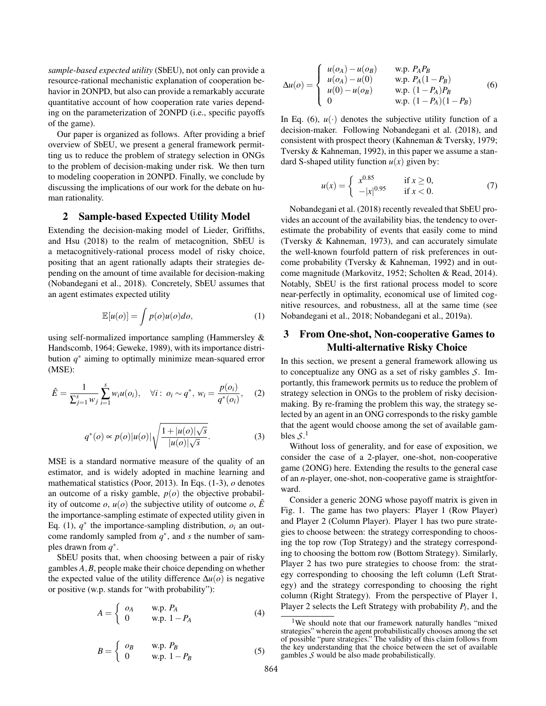*sample-based expected utility* (SbEU), not only can provide a resource-rational mechanistic explanation of cooperation behavior in 2ONPD, but also can provide a remarkably accurate quantitative account of how cooperation rate varies depending on the parameterization of 2ONPD (i.e., specific payoffs of the game).

Our paper is organized as follows. After providing a brief overview of SbEU, we present a general framework permitting us to reduce the problem of strategy selection in ONGs to the problem of decision-making under risk. We then turn to modeling cooperation in 2ONPD. Finally, we conclude by discussing the implications of our work for the debate on human rationality.

### 2 Sample-based Expected Utility Model

Extending the decision-making model of Lieder, Griffiths, and Hsu (2018) to the realm of metacognition, SbEU is a metacognitively-rational process model of risky choice, positing that an agent rationally adapts their strategies depending on the amount of time available for decision-making (Nobandegani et al., 2018). Concretely, SbEU assumes that an agent estimates expected utility

$$
\mathbb{E}[u(o)] = \int p(o)u(o)do,
$$
 (1)

using self-normalized importance sampling (Hammersley & Handscomb, 1964; Geweke, 1989), with its importance distribution *q* ∗ aiming to optimally minimize mean-squared error (MSE):

$$
\hat{E} = \frac{1}{\sum_{j=1}^{s} w_j} \sum_{i=1}^{s} w_i u(o_i), \quad \forall i: \ o_i \sim q^*, \ w_i = \frac{p(o_i)}{q^*(o_i)}, \quad (2)
$$

$$
q^*(o) \propto p(o)|u(o)|\sqrt{\frac{1+|u(o)|\sqrt{s}}{|u(o)|\sqrt{s}}}.\tag{3}
$$

MSE is a standard normative measure of the quality of an estimator, and is widely adopted in machine learning and mathematical statistics (Poor, 2013). In Eqs. (1-3), *o* denotes an outcome of a risky gamble, *p*(*o*) the objective probability of outcome *o*,  $u(o)$  the subjective utility of outcome *o*,  $\hat{E}$ the importance-sampling estimate of expected utility given in Eq. (1),  $q^*$  the importance-sampling distribution,  $o_i$  an outcome randomly sampled from  $q^*$ , and *s* the number of samples drawn from  $q^*$ .

SbEU posits that, when choosing between a pair of risky gambles *A*,*B*, people make their choice depending on whether the expected value of the utility difference ∆*u*(*o*) is negative or positive (w.p. stands for "with probability"):

$$
A = \begin{cases} o_A & \text{w.p. } P_A \\ 0 & \text{w.p. } 1 - P_A \end{cases} \tag{4}
$$

$$
B = \begin{cases} \n\begin{array}{cc}\n o_B & \text{w.p. } P_B \\
0 & \text{w.p. } 1 - P_B\n \end{array}\n \end{cases} \tag{5}
$$

$$
\Delta u(o) = \begin{cases}\n u(o_A) - u(o_B) & \text{w.p. } P_A P_B \\
u(o_A) - u(0) & \text{w.p. } P_A (1 - P_B) \\
u(0) - u(o_B) & \text{w.p. } (1 - P_A) P_B \\
0 & \text{w.p. } (1 - P_A)(1 - P_B)\n\end{cases}
$$
\n(6)

In Eq. (6),  $u(\cdot)$  denotes the subjective utility function of a decision-maker. Following Nobandegani et al. (2018), and consistent with prospect theory (Kahneman & Tversky, 1979; Tversky & Kahneman, 1992), in this paper we assume a standard S-shaped utility function  $u(x)$  given by:

$$
u(x) = \begin{cases} x^{0.85} & \text{if } x \ge 0, \\ -|x|^{0.95} & \text{if } x < 0. \end{cases}
$$
 (7)

Nobandegani et al. (2018) recently revealed that SbEU provides an account of the availability bias, the tendency to overestimate the probability of events that easily come to mind (Tversky & Kahneman, 1973), and can accurately simulate the well-known fourfold pattern of risk preferences in outcome probability (Tversky & Kahneman, 1992) and in outcome magnitude (Markovitz, 1952; Scholten & Read, 2014). Notably, SbEU is the first rational process model to score near-perfectly in optimality, economical use of limited cognitive resources, and robustness, all at the same time (see Nobandegani et al., 2018; Nobandegani et al., 2019a).

# 3 From One-shot, Non-cooperative Games to Multi-alternative Risky Choice

In this section, we present a general framework allowing us to conceptualize any ONG as a set of risky gambles *S*. Importantly, this framework permits us to reduce the problem of strategy selection in ONGs to the problem of risky decisionmaking. By re-framing the problem this way, the strategy selected by an agent in an ONG corresponds to the risky gamble that the agent would choose among the set of available gambles  $S^1$ 

Without loss of generality, and for ease of exposition, we consider the case of a 2-player, one-shot, non-cooperative game (2ONG) here. Extending the results to the general case of an *n*-player, one-shot, non-cooperative game is straightforward.

Consider a generic 2ONG whose payoff matrix is given in Fig. 1. The game has two players: Player 1 (Row Player) and Player 2 (Column Player). Player 1 has two pure strategies to choose between: the strategy corresponding to choosing the top row (Top Strategy) and the strategy corresponding to choosing the bottom row (Bottom Strategy). Similarly, Player 2 has two pure strategies to choose from: the strategy corresponding to choosing the left column (Left Strategy) and the strategy corresponding to choosing the right column (Right Strategy). From the perspective of Player 1, Player 2 selects the Left Strategy with probability *P<sup>l</sup>* , and the

<sup>&</sup>lt;sup>1</sup>We should note that our framework naturally handles "mixed strategies" wherein the agent probabilistically chooses among the set of possible "pure strategies." The validity of this claim follows from the key understanding that the choice between the set of available gambles *S* would be also made probabilistically.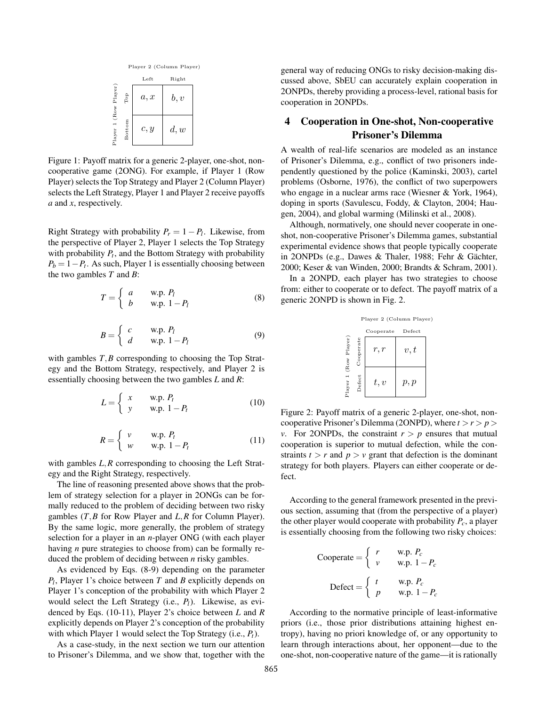

Figure 1: Payoff matrix for a generic 2-player, one-shot, noncooperative game (2ONG). For example, if Player 1 (Row Player) selects the Top Strategy and Player 2 (Column Player) selects the Left Strategy, Player 1 and Player 2 receive payoffs *a* and *x*, respectively.

Right Strategy with probability  $P_r = 1 - P_l$ . Likewise, from the perspective of Player 2, Player 1 selects the Top Strategy with probability  $P_t$ , and the Bottom Strategy with probability  $P_b = 1 - P_t$ . As such, Player 1 is essentially choosing between the two gambles *T* and *B*:

$$
T = \begin{cases} a & \text{w.p. } P_l \\ b & \text{w.p. } 1 - P_l \end{cases}
$$
 (8)

$$
B = \begin{cases} c & \text{w.p. } P_l \\ d & \text{w.p. } 1 - P_l \end{cases}
$$
 (9)

with gambles *T*,*B* corresponding to choosing the Top Strategy and the Bottom Strategy, respectively, and Player 2 is essentially choosing between the two gambles *L* and *R*:

$$
L = \begin{cases} x & \text{w.p. } P_t \\ y & \text{w.p. } 1 - P_t \end{cases}
$$
 (10)

$$
R = \begin{cases} v & \text{w.p. } P_t \\ w & \text{w.p. } 1 - P_t \end{cases}
$$
 (11)

with gambles *L*,*R* corresponding to choosing the Left Strategy and the Right Strategy, respectively.

The line of reasoning presented above shows that the problem of strategy selection for a player in 2ONGs can be formally reduced to the problem of deciding between two risky gambles (*T*,*B* for Row Player and *L*,*R* for Column Player). By the same logic, more generally, the problem of strategy selection for a player in an *n*-player ONG (with each player having *n* pure strategies to choose from) can be formally reduced the problem of deciding between *n* risky gambles.

As evidenced by Eqs. (8-9) depending on the parameter *Pl* , Player 1's choice between *T* and *B* explicitly depends on Player 1's conception of the probability with which Player 2 would select the Left Strategy (i.e., *Pl*). Likewise, as evidenced by Eqs. (10-11), Player 2's choice between *L* and *R* explicitly depends on Player 2's conception of the probability with which Player 1 would select the Top Strategy (i.e., *Pt*).

As a case-study, in the next section we turn our attention to Prisoner's Dilemma, and we show that, together with the general way of reducing ONGs to risky decision-making discussed above, SbEU can accurately explain cooperation in 2ONPDs, thereby providing a process-level, rational basis for cooperation in 2ONPDs.

# 4 Cooperation in One-shot, Non-cooperative Prisoner's Dilemma

A wealth of real-life scenarios are modeled as an instance of Prisoner's Dilemma, e.g., conflict of two prisoners independently questioned by the police (Kaminski, 2003), cartel problems (Osborne, 1976), the conflict of two superpowers who engage in a nuclear arms race (Wiesner & York, 1964), doping in sports (Savulescu, Foddy, & Clayton, 2004; Haugen, 2004), and global warming (Milinski et al., 2008).

Although, normatively, one should never cooperate in oneshot, non-cooperative Prisoner's Dilemma games, substantial experimental evidence shows that people typically cooperate in 2ONPDs (e.g., Dawes & Thaler, 1988; Fehr & Gächter, 2000; Keser & van Winden, 2000; Brandts & Schram, 2001).

In a 2ONPD, each player has two strategies to choose from: either to cooperate or to defect. The payoff matrix of a generic 2ONPD is shown in Fig. 2.

|              |                    | Player 2 (Column Player) |        |  |
|--------------|--------------------|--------------------------|--------|--|
|              |                    | Cooperate                | Defect |  |
| (Row Player) | Cooperate          | r, r                     | v, t   |  |
| Player 1     | $_{\text{Defect}}$ | t, v                     | p, p   |  |

Figure 2: Payoff matrix of a generic 2-player, one-shot, noncooperative Prisoner's Dilemma (20NPD), where  $t > r > p$ *v*. For 2ONPDs, the constraint  $r > p$  ensures that mutual cooperation is superior to mutual defection, while the constraints  $t > r$  and  $p > v$  grant that defection is the dominant strategy for both players. Players can either cooperate or defect.

According to the general framework presented in the previous section, assuming that (from the perspective of a player) the other player would cooperate with probability  $P_c$ , a player is essentially choosing from the following two risky choices:

Cooperate = 
$$
\begin{cases} r & \text{w.p. } P_c \\ v & \text{w.p. } 1 - P_c \end{cases}
$$

$$
\text{Defect} = \begin{cases} t & \text{w.p. } P_c \\ p & \text{w.p. } 1 - P_c \end{cases}
$$

According to the normative principle of least-informative priors (i.e., those prior distributions attaining highest entropy), having no priori knowledge of, or any opportunity to learn through interactions about, her opponent—due to the one-shot, non-cooperative nature of the game—it is rationally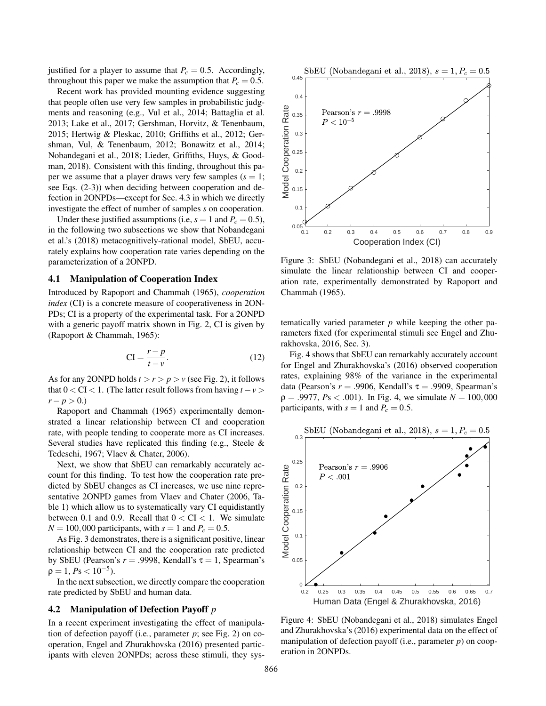justified for a player to assume that  $P_c = 0.5$ . Accordingly, throughout this paper we make the assumption that  $P_c = 0.5$ .

Recent work has provided mounting evidence suggesting that people often use very few samples in probabilistic judgments and reasoning (e.g., Vul et al., 2014; Battaglia et al. 2013; Lake et al., 2017; Gershman, Horvitz, & Tenenbaum, 2015; Hertwig & Pleskac, 2010; Griffiths et al., 2012; Gershman, Vul, & Tenenbaum, 2012; Bonawitz et al., 2014; Nobandegani et al., 2018; Lieder, Griffiths, Huys, & Goodman, 2018). Consistent with this finding, throughout this paper we assume that a player draws very few samples  $(s = 1;$ see Eqs. (2-3)) when deciding between cooperation and defection in 2ONPDs—except for Sec. 4.3 in which we directly investigate the effect of number of samples *s* on cooperation.

Under these justified assumptions (i.e,  $s = 1$  and  $P_c = 0.5$ ), in the following two subsections we show that Nobandegani et al.'s (2018) metacognitively-rational model, SbEU, accurately explains how cooperation rate varies depending on the parameterization of a 2ONPD.

#### 4.1 Manipulation of Cooperation Index

Introduced by Rapoport and Chammah (1965), *cooperation index* (CI) is a concrete measure of cooperativeness in 2ON-PDs; CI is a property of the experimental task. For a 2ONPD with a generic payoff matrix shown in Fig. 2, CI is given by (Rapoport & Chammah, 1965):

$$
CI = \frac{r - p}{t - v}.
$$
\n(12)

As for any 2ONPD holds  $t > r > p > v$  (see Fig. 2), it follows that  $0 < CI < 1$ . (The latter result follows from having  $t - v > 1$  $r - p > 0.$ 

Rapoport and Chammah (1965) experimentally demonstrated a linear relationship between CI and cooperation rate, with people tending to cooperate more as CI increases. Several studies have replicated this finding (e.g., Steele & Tedeschi, 1967; Vlaev & Chater, 2006).

Next, we show that SbEU can remarkably accurately account for this finding. To test how the cooperation rate predicted by SbEU changes as CI increases, we use nine representative 2ONPD games from Vlaev and Chater (2006, Table 1) which allow us to systematically vary CI equidistantly between 0.1 and 0.9. Recall that  $0 < CI < 1$ . We simulate  $N = 100,000$  participants, with  $s = 1$  and  $P_c = 0.5$ .

As Fig. 3 demonstrates, there is a significant positive, linear relationship between CI and the cooperation rate predicted by SbEU (Pearson's  $r = .9998$ , Kendall's  $\tau = 1$ , Spearman's  $\rho = 1, Ps < 10^{-5}$ ).

In the next subsection, we directly compare the cooperation rate predicted by SbEU and human data.

#### 4.2 Manipulation of Defection Payoff *p*

In a recent experiment investigating the effect of manipulation of defection payoff (i.e., parameter *p*; see Fig. 2) on cooperation, Engel and Zhurakhovska (2016) presented participants with eleven 2ONPDs; across these stimuli, they sys-



Figure 3: SbEU (Nobandegani et al., 2018) can accurately simulate the linear relationship between CI and cooperation rate, experimentally demonstrated by Rapoport and Chammah (1965).

tematically varied parameter *p* while keeping the other parameters fixed (for experimental stimuli see Engel and Zhurakhovska, 2016, Sec. 3).

Fig. 4 shows that SbEU can remarkably accurately account for Engel and Zhurakhovska's (2016) observed cooperation rates, explaining 98% of the variance in the experimental data (Pearson's  $r = .9906$ , Kendall's  $\tau = .9909$ , Spearman's  $\rho = .9977, P_s < .001$ ). In Fig. 4, we simulate  $N = 100,000$ participants, with  $s = 1$  and  $P_c = 0.5$ .



Figure 4: SbEU (Nobandegani et al., 2018) simulates Engel and Zhurakhovska's (2016) experimental data on the effect of manipulation of defection payoff (i.e., parameter *p*) on cooperation in 2ONPDs.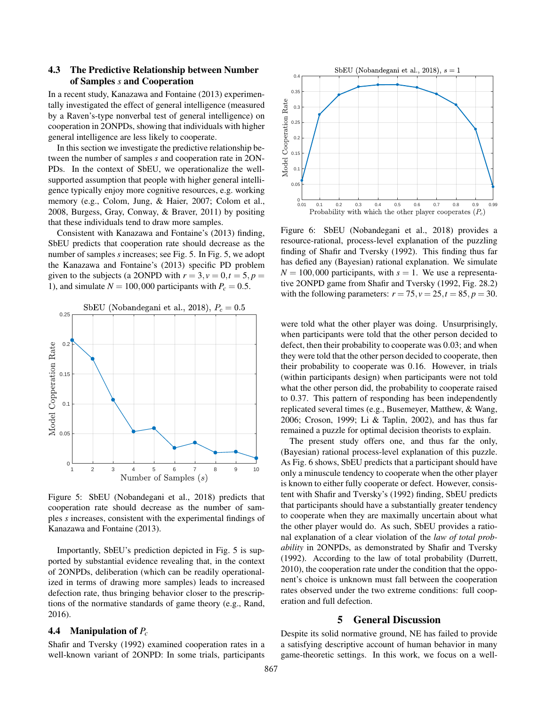## 4.3 The Predictive Relationship between Number of Samples *s* and Cooperation

In a recent study, Kanazawa and Fontaine (2013) experimentally investigated the effect of general intelligence (measured by a Raven's-type nonverbal test of general intelligence) on cooperation in 2ONPDs, showing that individuals with higher general intelligence are less likely to cooperate.

In this section we investigate the predictive relationship between the number of samples *s* and cooperation rate in 2ON-PDs. In the context of SbEU, we operationalize the wellsupported assumption that people with higher general intelligence typically enjoy more cognitive resources, e.g. working memory (e.g., Colom, Jung, & Haier, 2007; Colom et al., 2008, Burgess, Gray, Conway, & Braver, 2011) by positing that these individuals tend to draw more samples.

Consistent with Kanazawa and Fontaine's (2013) finding, SbEU predicts that cooperation rate should decrease as the number of samples *s* increases; see Fig. 5. In Fig. 5, we adopt the Kanazawa and Fontaine's (2013) specific PD problem given to the subjects (a 2ONPD with  $r = 3$ ,  $v = 0$ ,  $t = 5$ ,  $p =$ 1), and simulate  $N = 100,000$  participants with  $P_c = 0.5$ .



Figure 5: SbEU (Nobandegani et al., 2018) predicts that cooperation rate should decrease as the number of samples *s* increases, consistent with the experimental findings of Kanazawa and Fontaine (2013).

Importantly, SbEU's prediction depicted in Fig. 5 is supported by substantial evidence revealing that, in the context of 2ONPDs, deliberation (which can be readily operationalized in terms of drawing more samples) leads to increased defection rate, thus bringing behavior closer to the prescriptions of the normative standards of game theory (e.g., Rand, 2016).

### 4.4 Manipulation of *P<sup>c</sup>*

Shafir and Tversky (1992) examined cooperation rates in a well-known variant of 2ONPD: In some trials, participants



Figure 6: SbEU (Nobandegani et al., 2018) provides a resource-rational, process-level explanation of the puzzling finding of Shafir and Tversky (1992). This finding thus far has defied any (Bayesian) rational explanation. We simulate  $N = 100,000$  participants, with  $s = 1$ . We use a representative 2ONPD game from Shafir and Tversky (1992, Fig. 28.2) with the following parameters:  $r = 75$ ,  $v = 25$ ,  $t = 85$ ,  $p = 30$ .

were told what the other player was doing. Unsurprisingly, when participants were told that the other person decided to defect, then their probability to cooperate was 0.03; and when they were told that the other person decided to cooperate, then their probability to cooperate was 0.16. However, in trials (within participants design) when participants were not told what the other person did, the probability to cooperate raised to 0.37. This pattern of responding has been independently replicated several times (e.g., Busemeyer, Matthew, & Wang, 2006; Croson, 1999; Li & Taplin, 2002), and has thus far remained a puzzle for optimal decision theorists to explain.

The present study offers one, and thus far the only, (Bayesian) rational process-level explanation of this puzzle. As Fig. 6 shows, SbEU predicts that a participant should have only a minuscule tendency to cooperate when the other player is known to either fully cooperate or defect. However, consistent with Shafir and Tversky's (1992) finding, SbEU predicts that participants should have a substantially greater tendency to cooperate when they are maximally uncertain about what the other player would do. As such, SbEU provides a rational explanation of a clear violation of the *law of total probability* in 2ONPDs, as demonstrated by Shafir and Tversky (1992). According to the law of total probability (Durrett, 2010), the cooperation rate under the condition that the opponent's choice is unknown must fall between the cooperation rates observed under the two extreme conditions: full cooperation and full defection.

#### 5 General Discussion

Despite its solid normative ground, NE has failed to provide a satisfying descriptive account of human behavior in many game-theoretic settings. In this work, we focus on a well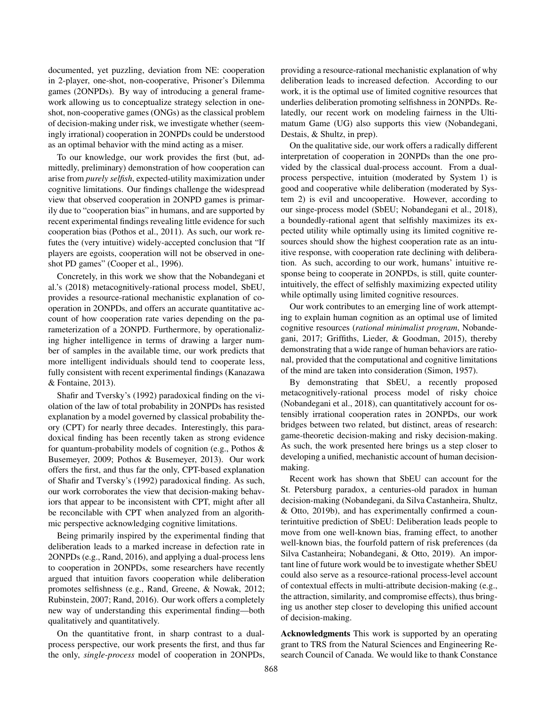documented, yet puzzling, deviation from NE: cooperation in 2-player, one-shot, non-cooperative, Prisoner's Dilemma games (2ONPDs). By way of introducing a general framework allowing us to conceptualize strategy selection in oneshot, non-cooperative games (ONGs) as the classical problem of decision-making under risk, we investigate whether (seemingly irrational) cooperation in 2ONPDs could be understood as an optimal behavior with the mind acting as a miser.

To our knowledge, our work provides the first (but, admittedly, preliminary) demonstration of how cooperation can arise from *purely selfish*, expected-utility maximization under cognitive limitations. Our findings challenge the widespread view that observed cooperation in 2ONPD games is primarily due to "cooperation bias" in humans, and are supported by recent experimental findings revealing little evidence for such cooperation bias (Pothos et al., 2011). As such, our work refutes the (very intuitive) widely-accepted conclusion that "If players are egoists, cooperation will not be observed in oneshot PD games" (Cooper et al., 1996).

Concretely, in this work we show that the Nobandegani et al.'s (2018) metacognitively-rational process model, SbEU, provides a resource-rational mechanistic explanation of cooperation in 2ONPDs, and offers an accurate quantitative account of how cooperation rate varies depending on the parameterization of a 2ONPD. Furthermore, by operationalizing higher intelligence in terms of drawing a larger number of samples in the available time, our work predicts that more intelligent individuals should tend to cooperate less, fully consistent with recent experimental findings (Kanazawa & Fontaine, 2013).

Shafir and Tversky's (1992) paradoxical finding on the violation of the law of total probability in 2ONPDs has resisted explanation by a model governed by classical probability theory (CPT) for nearly three decades. Interestingly, this paradoxical finding has been recently taken as strong evidence for quantum-probability models of cognition (e.g., Pothos & Busemeyer, 2009; Pothos & Busemeyer, 2013). Our work offers the first, and thus far the only, CPT-based explanation of Shafir and Tversky's (1992) paradoxical finding. As such, our work corroborates the view that decision-making behaviors that appear to be inconsistent with CPT, might after all be reconcilable with CPT when analyzed from an algorithmic perspective acknowledging cognitive limitations.

Being primarily inspired by the experimental finding that deliberation leads to a marked increase in defection rate in 2ONPDs (e.g., Rand, 2016), and applying a dual-process lens to cooperation in 2ONPDs, some researchers have recently argued that intuition favors cooperation while deliberation promotes selfishness (e.g., Rand, Greene, & Nowak, 2012; Rubinstein, 2007; Rand, 2016). Our work offers a completely new way of understanding this experimental finding—both qualitatively and quantitatively.

On the quantitative front, in sharp contrast to a dualprocess perspective, our work presents the first, and thus far the only, *single-process* model of cooperation in 2ONPDs,

providing a resource-rational mechanistic explanation of why deliberation leads to increased defection. According to our work, it is the optimal use of limited cognitive resources that underlies deliberation promoting selfishness in 2ONPDs. Relatedly, our recent work on modeling fairness in the Ultimatum Game (UG) also supports this view (Nobandegani, Destais, & Shultz, in prep).

On the qualitative side, our work offers a radically different interpretation of cooperation in 2ONPDs than the one provided by the classical dual-process account. From a dualprocess perspective, intuition (moderated by System 1) is good and cooperative while deliberation (moderated by System 2) is evil and uncooperative. However, according to our singe-process model (SbEU; Nobandegani et al., 2018), a boundedly-rational agent that selfishly maximizes its expected utility while optimally using its limited cognitive resources should show the highest cooperation rate as an intuitive response, with cooperation rate declining with deliberation. As such, according to our work, humans' intuitive response being to cooperate in 2ONPDs, is still, quite counterintuitively, the effect of selfishly maximizing expected utility while optimally using limited cognitive resources.

Our work contributes to an emerging line of work attempting to explain human cognition as an optimal use of limited cognitive resources (*rational minimalist program*, Nobandegani, 2017; Griffiths, Lieder, & Goodman, 2015), thereby demonstrating that a wide range of human behaviors are rational, provided that the computational and cognitive limitations of the mind are taken into consideration (Simon, 1957).

By demonstrating that SbEU, a recently proposed metacognitively-rational process model of risky choice (Nobandegani et al., 2018), can quantitatively account for ostensibly irrational cooperation rates in 2ONPDs, our work bridges between two related, but distinct, areas of research: game-theoretic decision-making and risky decision-making. As such, the work presented here brings us a step closer to developing a unified, mechanistic account of human decisionmaking.

Recent work has shown that SbEU can account for the St. Petersburg paradox, a centuries-old paradox in human decision-making (Nobandegani, da Silva Castanheira, Shultz, & Otto, 2019b), and has experimentally confirmed a counterintuitive prediction of SbEU: Deliberation leads people to move from one well-known bias, framing effect, to another well-known bias, the fourfold pattern of risk preferences (da Silva Castanheira; Nobandegani, & Otto, 2019). An important line of future work would be to investigate whether SbEU could also serve as a resource-rational process-level account of contextual effects in multi-attribute decision-making (e.g., the attraction, similarity, and compromise effects), thus bringing us another step closer to developing this unified account of decision-making.

Acknowledgments This work is supported by an operating grant to TRS from the Natural Sciences and Engineering Research Council of Canada. We would like to thank Constance